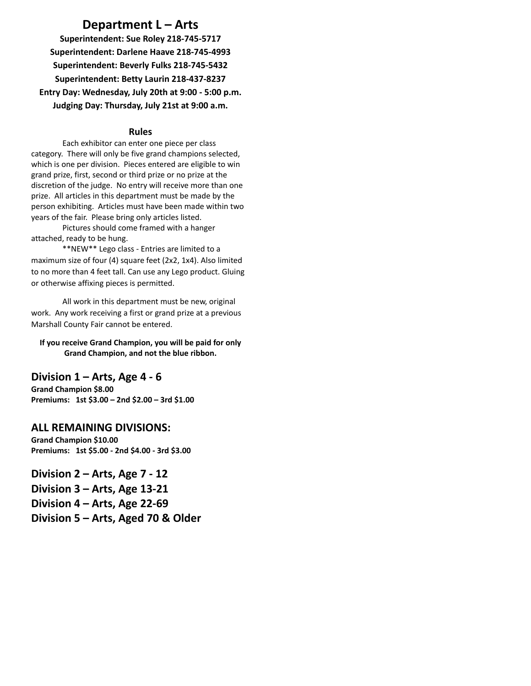# **Department L – Arts**

**Superintendent: Sue Roley 218-745-5717 Superintendent: Darlene Haave 218-745-4993 Superintendent: Beverly Fulks 218-745-5432 Superintendent: Betty Laurin 218-437-8237 Entry Day: Wednesday, July 20th at 9:00 - 5:00 p.m. Judging Day: Thursday, July 21st at 9:00 a.m.**

#### **Rules**

Each exhibitor can enter one piece per class category. There will only be five grand champions selected, which is one per division. Pieces entered are eligible to win grand prize, first, second or third prize or no prize at the discretion of the judge. No entry will receive more than one prize. All articles in this department must be made by the person exhibiting. Articles must have been made within two years of the fair. Please bring only articles listed.

Pictures should come framed with a hanger attached, ready to be hung.

\*\*NEW\*\* Lego class - Entries are limited to a maximum size of four (4) square feet (2x2, 1x4). Also limited to no more than 4 feet tall. Can use any Lego product. Gluing or otherwise affixing pieces is permitted.

All work in this department must be new, original work. Any work receiving a first or grand prize at a previous Marshall County Fair cannot be entered.

#### **If you receive Grand Champion, you will be paid for only Grand Champion, and not the blue ribbon.**

## **Division 1 – Arts, Age 4 - 6**

**Grand Champion \$8.00 Premiums: 1st \$3.00 – 2nd \$2.00 – 3rd \$1.00**

## **ALL REMAINING DIVISIONS:**

**Grand Champion \$10.00 Premiums: 1st \$5.00 - 2nd \$4.00 - 3rd \$3.00**

**Division 2 – Arts, Age 7 - 12 Division 3 – Arts, Age 13-21 Division 4 – Arts, Age 22-69 Division 5 – Arts, Aged 70 & Older**